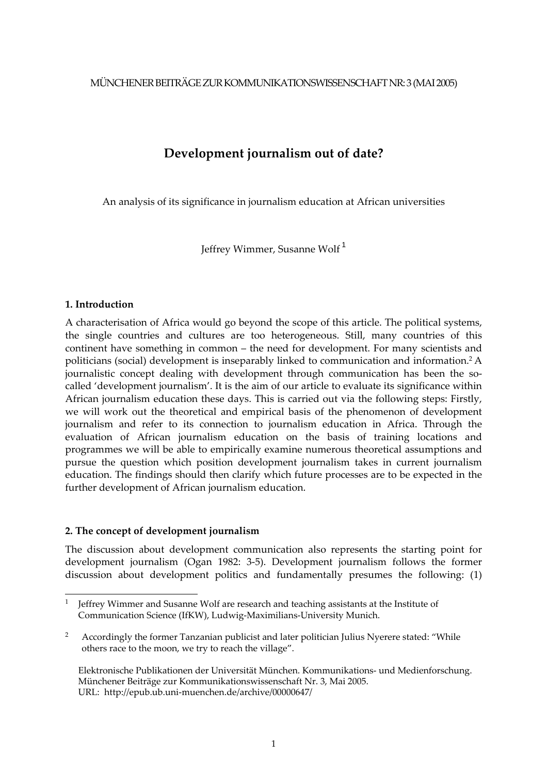MÜNCHENER BEITRÄGE ZUR KOMMUNIKATIONSWISSENSCHAFT NR: 3 (MAI 2005)

# **Development journalism out of date?**

An analysis of its significance in journalism education at African universities

Jeffrey Wimmer, Susanne Wolf [1](#page-0-0)

## **1. Introduction**

A characterisation of Africa would go beyond the scope of this article. The political systems, the single countries and cultures are too heterogeneous. Still, many countries of this continent have something in common – the need for development. For many scientists and politicians (social) development is inseparably linked to communication and information[.2](#page-0-1) A journalistic concept dealing with development through communication has been the socalled 'development journalism'. It is the aim of our article to evaluate its significance within African journalism education these days. This is carried out via the following steps: Firstly, we will work out the theoretical and empirical basis of the phenomenon of development journalism and refer to its connection to journalism education in Africa. Through the evaluation of African journalism education on the basis of training locations and programmes we will be able to empirically examine numerous theoretical assumptions and pursue the question which position development journalism takes in current journalism education. The findings should then clarify which future processes are to be expected in the further development of African journalism education.

# **2. The concept of development journalism**

The discussion about development communication also represents the starting point for development journalism (Ogan 1982: 3‐5). Development journalism follows the former discussion about development politics and fundamentally presumes the following: (1)

<span id="page-0-0"></span> $\mathbf{1}$ <sup>1</sup> Jeffrey Wimmer and Susanne Wolf are research and teaching assistants at the Institute of Communication Science (IfKW), Ludwig‐Maximilians‐University Munich.

<span id="page-0-1"></span><sup>2</sup> Accordingly the former Tanzanian publicist and later politician Julius Nyerere stated: "While others race to the moon, we try to reach the village".

Elektronische Publikationen der Universität München. Kommunikations‐ und Medienforschung. Münchener Beiträge zur Kommunikationswissenschaft Nr. 3, Mai 2005. URL: http://epub.ub.uni‐muenchen.de/archive/00000647/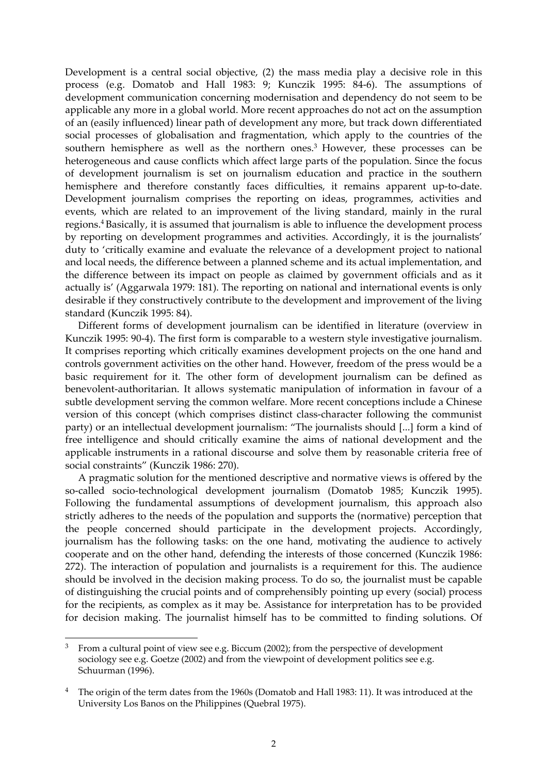Development is a central social objective, (2) the mass media play a decisive role in this process (e.g. Domatob and Hall 1983: 9; Kunczik 1995: 84‐6). The assumptions of development communication concerning modernisation and dependency do not seem to be applicable any more in a global world. More recent approaches do not act on the assumption of an (easily influenced) linear path of development any more, but track down differentiated social processes of globalisation and fragmentation, which apply to the countries of the southern hemisphere as well as the northern ones.<sup>3</sup> However, these processes can be heterogeneous and cause conflicts which affect large parts of the population. Since the focus of development journalism is set on journalism education and practice in the southern hemisphere and therefore constantly faces difficulties, it remains apparent up-to-date. Development journalism comprises the reporting on ideas, programmes, activities and events, which are related to an improvement of the living standard, mainly in the rural regions.[4](#page-1-1) Basically, it is assumed that journalism is able to influence the development process by reporting on development programmes and activities. Accordingly, it is the journalists' duty to 'critically examine and evaluate the relevance of a development project to national and local needs, the difference between a planned scheme and its actual implementation, and the difference between its impact on people as claimed by government officials and as it actually is' (Aggarwala 1979: 181). The reporting on national and international events is only desirable if they constructively contribute to the development and improvement of the living standard (Kunczik 1995: 84).

Different forms of development journalism can be identified in literature (overview in Kunczik 1995: 90-4). The first form is comparable to a western style investigative journalism. It comprises reporting which critically examines development projects on the one hand and controls government activities on the other hand. However, freedom of the press would be a basic requirement for it. The other form of development journalism can be defined as benevolent‐authoritarian. It allows systematic manipulation of information in favour of a subtle development serving the common welfare. More recent conceptions include a Chinese version of this concept (which comprises distinct class‐character following the communist party) or an intellectual development journalism: "The journalists should [...] form a kind of free intelligence and should critically examine the aims of national development and the applicable instruments in a rational discourse and solve them by reasonable criteria free of social constraints" (Kunczik 1986: 270).

A pragmatic solution for the mentioned descriptive and normative views is offered by the so-called socio-technological development journalism (Domatob 1985; Kunczik 1995). Following the fundamental assumptions of development journalism, this approach also strictly adheres to the needs of the population and supports the (normative) perception that the people concerned should participate in the development projects. Accordingly, journalism has the following tasks: on the one hand, motivating the audience to actively cooperate and on the other hand, defending the interests of those concerned (Kunczik 1986: 272). The interaction of population and journalists is a requirement for this. The audience should be involved in the decision making process. To do so, the journalist must be capable of distinguishing the crucial points and of comprehensibly pointing up every (social) process for the recipients, as complex as it may be. Assistance for interpretation has to be provided for decision making. The journalist himself has to be committed to finding solutions. Of

<span id="page-1-0"></span> $\overline{a}$ <sup>3</sup> From a cultural point of view see e.g. Biccum (2002); from the perspective of development sociology see e.g. Goetze (2002) and from the viewpoint of development politics see e.g. Schuurman (1996).

<span id="page-1-1"></span>The origin of the term dates from the 1960s (Domatob and Hall 1983: 11). It was introduced at the University Los Banos on the Philippines (Quebral 1975).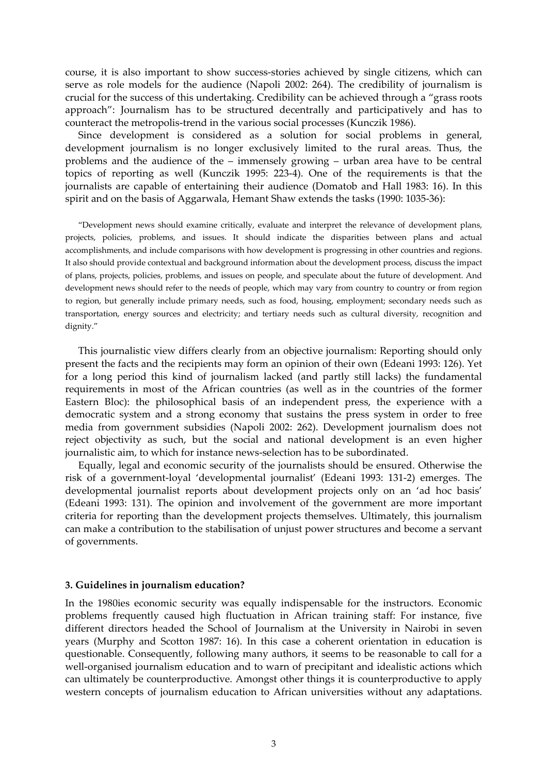course, it is also important to show success‐stories achieved by single citizens, which can serve as role models for the audience (Napoli 2002: 264). The credibility of journalism is crucial for the success of this undertaking. Credibility can be achieved through a "grass roots approach": Journalism has to be structured decentrally and participatively and has to counteract the metropolis‐trend in the various social processes (Kunczik 1986).

Since development is considered as a solution for social problems in general, development journalism is no longer exclusively limited to the rural areas. Thus, the problems and the audience of the – immensely growing – urban area have to be central topics of reporting as well (Kunczik 1995: 223‐4). One of the requirements is that the journalists are capable of entertaining their audience (Domatob and Hall 1983: 16). In this spirit and on the basis of Aggarwala, Hemant Shaw extends the tasks (1990: 1035‐36):

"Development news should examine critically, evaluate and interpret the relevance of development plans, projects, policies, problems, and issues. It should indicate the disparities between plans and actual accomplishments, and include comparisons with how development is progressing in other countries and regions. It also should provide contextual and background information about the development process, discuss the impact of plans, projects, policies, problems, and issues on people, and speculate about the future of development. And development news should refer to the needs of people, which may vary from country to country or from region to region, but generally include primary needs, such as food, housing, employment; secondary needs such as transportation, energy sources and electricity; and tertiary needs such as cultural diversity, recognition and dignity."

This journalistic view differs clearly from an objective journalism: Reporting should only present the facts and the recipients may form an opinion of their own (Edeani 1993: 126). Yet for a long period this kind of journalism lacked (and partly still lacks) the fundamental requirements in most of the African countries (as well as in the countries of the former Eastern Bloc): the philosophical basis of an independent press, the experience with a democratic system and a strong economy that sustains the press system in order to free media from government subsidies (Napoli 2002: 262). Development journalism does not reject objectivity as such, but the social and national development is an even higher journalistic aim, to which for instance news‐selection has to be subordinated.

Equally, legal and economic security of the journalists should be ensured. Otherwise the risk of a government‐loyal 'developmental journalist' (Edeani 1993: 131‐2) emerges. The developmental journalist reports about development projects only on an 'ad hoc basis' (Edeani 1993: 131). The opinion and involvement of the government are more important criteria for reporting than the development projects themselves. Ultimately, this journalism can make a contribution to the stabilisation of unjust power structures and become a servant of governments.

#### **3. Guidelines in journalism education?**

In the 1980ies economic security was equally indispensable for the instructors. Economic problems frequently caused high fluctuation in African training staff: For instance, five different directors headed the School of Journalism at the University in Nairobi in seven years (Murphy and Scotton 1987: 16). In this case a coherent orientation in education is questionable. Consequently, following many authors, it seems to be reasonable to call for a well-organised journalism education and to warn of precipitant and idealistic actions which can ultimately be counterproductive. Amongst other things it is counterproductive to apply western concepts of journalism education to African universities without any adaptations.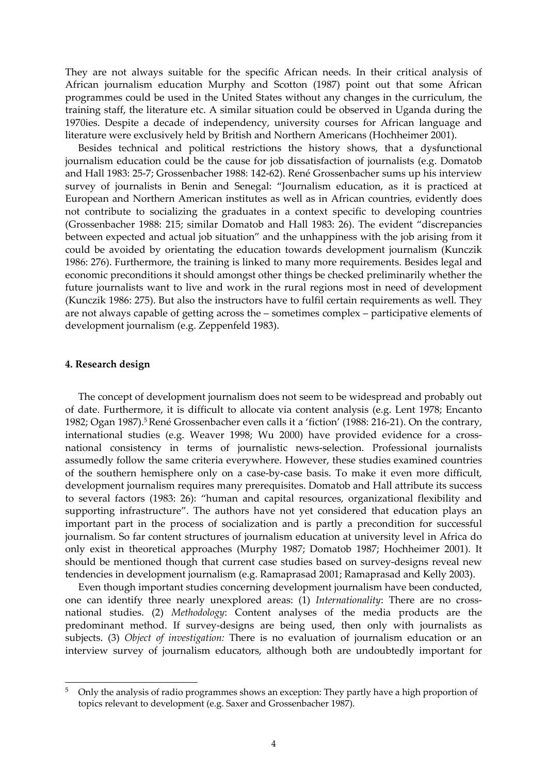They are not always suitable for the specific African needs. In their critical analysis of African journalism education Murphy and Scotton (1987) point out that some African programmes could be used in the United States without any changes in the curriculum, the training staff, the literature etc. A similar situation could be observed in Uganda during the 1970ies. Despite a decade of independency, university courses for African language and literature were exclusively held by British and Northern Americans (Hochheimer 2001).

Besides technical and political restrictions the history shows, that a dysfunctional journalism education could be the cause for job dissatisfaction of journalists (e.g. Domatob and Hall 1983: 25‐7; Grossenbacher 1988: 142‐62). René Grossenbacher sums up his interview survey of journalists in Benin and Senegal: "Journalism education, as it is practiced at European and Northern American institutes as well as in African countries, evidently does not contribute to socializing the graduates in a context specific to developing countries (Grossenbacher 1988: 215; similar Domatob and Hall 1983: 26). The evident "discrepancies between expected and actual job situation" and the unhappiness with the job arising from it could be avoided by orientating the education towards development journalism (Kunczik 1986: 276). Furthermore, the training is linked to many more requirements. Besides legal and economic preconditions it should amongst other things be checked preliminarily whether the future journalists want to live and work in the rural regions most in need of development (Kunczik 1986: 275). But also the instructors have to fulfil certain requirements as well. They are not always capable of getting across the – sometimes complex – participative elements of development journalism (e.g. Zeppenfeld 1983).

#### **4. Research design**

 $\overline{a}$ 

The concept of development journalism does not seem to be widespread and probably out of date. Furthermore, it is difficult to allocate via content analysis (e.g. Lent 1978; Encanto 1982; Ogan 1987).<sup>5</sup> René Grossenbacher even calls it a 'fiction' (1988: 216-21). On the contrary, international studies (e.g. Weaver 1998; Wu 2000) have provided evidence for a crossnational consistency in terms of journalistic news‐selection. Professional journalists assumedly follow the same criteria everywhere. However, these studies examined countries of the southern hemisphere only on a case‐by‐case basis. To make it even more difficult, development journalism requires many prerequisites. Domatob and Hall attribute its success to several factors (1983: 26): "human and capital resources, organizational flexibility and supporting infrastructure". The authors have not yet considered that education plays an important part in the process of socialization and is partly a precondition for successful journalism. So far content structures of journalism education at university level in Africa do only exist in theoretical approaches (Murphy 1987; Domatob 1987; Hochheimer 2001). It should be mentioned though that current case studies based on survey‐designs reveal new tendencies in development journalism (e.g. Ramaprasad 2001; Ramaprasad and Kelly 2003).

Even though important studies concerning development journalism have been conducted, one can identify three nearly unexplored areas: (1) *Internationality*: There are no crossnational studies. (2) *Methodology*: Content analyses of the media products are the predominant method. If survey-designs are being used, then only with journalists as subjects. (3) *Object of investigation:* There is no evaluation of journalism education or an interview survey of journalism educators, although both are undoubtedly important for

<span id="page-3-0"></span><sup>5</sup> Only the analysis of radio programmes shows an exception: They partly have a high proportion of topics relevant to development (e.g. Saxer and Grossenbacher 1987).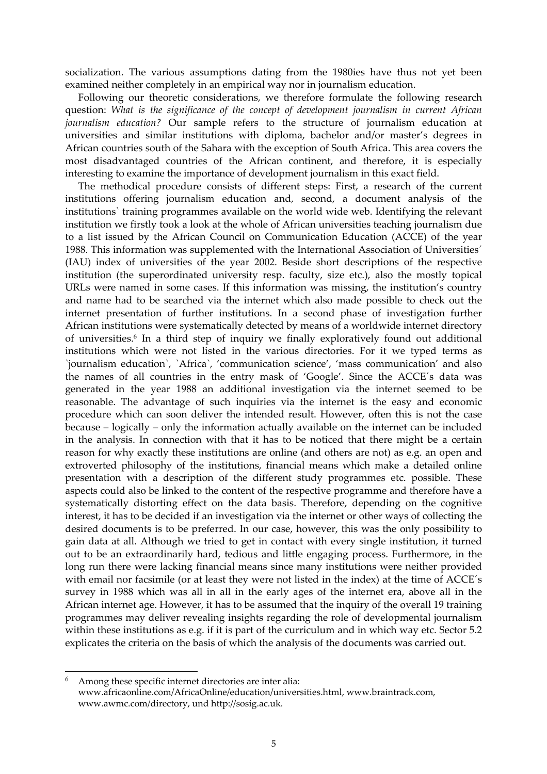socialization. The various assumptions dating from the 1980ies have thus not yet been examined neither completely in an empirical way nor in journalism education.

Following our theoretic considerations, we therefore formulate the following research question: *What is the significance of the concept of development journalism in current African journalism education?* Our sample refers to the structure of journalism education at universities and similar institutions with diploma, bachelor and/or master's degrees in African countries south of the Sahara with the exception of South Africa. This area covers the most disadvantaged countries of the African continent, and therefore, it is especially interesting to examine the importance of development journalism in this exact field.

The methodical procedure consists of different steps: First, a research of the current institutions offering journalism education and, second, a document analysis of the institutions` training programmes available on the world wide web. Identifying the relevant institution we firstly took a look at the whole of African universities teaching journalism due to a list issued by the African Council on Communication Education (ACCE) of the year 1988. This information was supplemented with the International Association of Universities´ (IAU) index of universities of the year 2002. Beside short descriptions of the respective institution (the superordinated university resp. faculty, size etc.), also the mostly topical URLs were named in some cases. If this information was missing, the institution's country and name had to be searched via the internet which also made possible to check out the internet presentation of further institutions. In a second phase of investigation further African institutions were systematically detected by means of a worldwide internet directory of universities[.6](#page-4-0) In a third step of inquiry we finally exploratively found out additional institutions which were not listed in the various directories. For it we typed terms as `journalism education`, `Africa`, 'communication science', 'mass communication' and also the names of all countries in the entry mask of 'Google'. Since the ACCE´s data was generated in the year 1988 an additional investigation via the internet seemed to be reasonable. The advantage of such inquiries via the internet is the easy and economic procedure which can soon deliver the intended result. However, often this is not the case because – logically – only the information actually available on the internet can be included in the analysis. In connection with that it has to be noticed that there might be a certain reason for why exactly these institutions are online (and others are not) as e.g. an open and extroverted philosophy of the institutions, financial means which make a detailed online presentation with a description of the different study programmes etc. possible. These aspects could also be linked to the content of the respective programme and therefore have a systematically distorting effect on the data basis. Therefore, depending on the cognitive interest, it has to be decided if an investigation via the internet or other ways of collecting the desired documents is to be preferred. In our case, however, this was the only possibility to gain data at all. Although we tried to get in contact with every single institution, it turned out to be an extraordinarily hard, tedious and little engaging process. Furthermore, in the long run there were lacking financial means since many institutions were neither provided with email nor facsimile (or at least they were not listed in the index) at the time of ACCE´s survey in 1988 which was all in all in the early ages of the internet era, above all in the African internet age. However, it has to be assumed that the inquiry of the overall 19 training programmes may deliver revealing insights regarding the role of developmental journalism within these institutions as e.g. if it is part of the curriculum and in which way etc. Sector 5.2 explicates the criteria on the basis of which the analysis of the documents was carried out.

 $\overline{a}$ 

<span id="page-4-0"></span>Among these specific internet directories are inter alia: www.africaonline.com/AfricaOnline/education/universities.html, www.braintrack.com, www.awmc.com/directory, und http://sosig.ac.uk.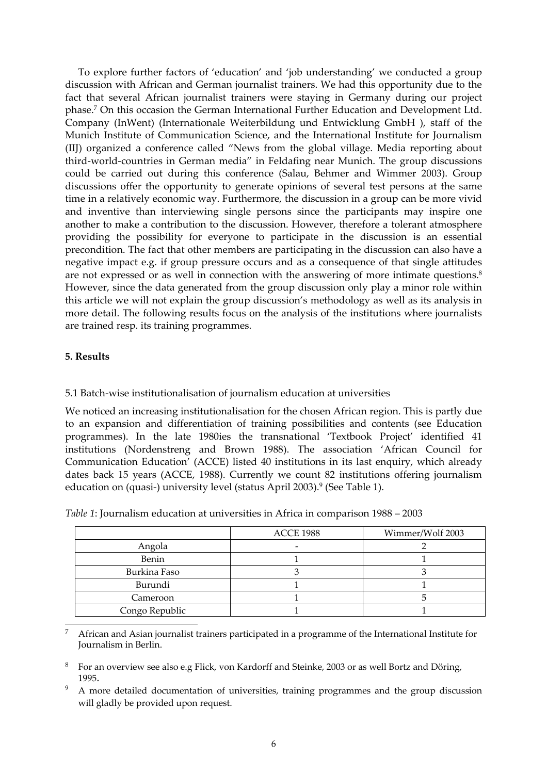To explore further factors of 'education' and 'job understanding' we conducted a group discussion with African and German journalist trainers. We had this opportunity due to the fact that several African journalist trainers were staying in Germany during our project phase[.7](#page-5-0) On this occasion the German International Further Education and Development Ltd. Company (InWent) (Internationale Weiterbildung und Entwicklung GmbH ), staff of the Munich Institute of Communication Science, and the International Institute for Journalism (IIJ) organized a conference called "News from the global village. Media reporting about third‐world‐countries in German media" in Feldafing near Munich. The group discussions could be carried out during this conference (Salau, Behmer and Wimmer 2003). Group discussions offer the opportunity to generate opinions of several test persons at the same time in a relatively economic way. Furthermore, the discussion in a group can be more vivid and inventive than interviewing single persons since the participants may inspire one another to make a contribution to the discussion. However, therefore a tolerant atmosphere providing the possibility for everyone to participate in the discussion is an essential precondition. The fact that other members are participating in the discussion can also have a negative impact e.g. if group pressure occurs and as a consequence of that single attitudes are not expressed or as well in connection with the answering of more intimate questions.<sup>[8](#page-5-1)</sup> However, since the data generated from the group discussion only play a minor role within this article we will not explain the group discussion's methodology as well as its analysis in more detail. The following results focus on the analysis of the institutions where journalists are trained resp. its training programmes.

# **5. Results**

# 5.1 Batch‐wise institutionalisation of journalism education at universities

We noticed an increasing institutionalisation for the chosen African region. This is partly due to an expansion and differentiation of training possibilities and contents (see Education programmes). In the late 1980ies the transnational 'Textbook Project' identified 41 institutions (Nordenstreng and Brown 1988). The association 'African Council for Communication Education' (ACCE) listed 40 institutions in its last enquiry, which already dates back 15 years (ACCE, 1988). Currently we count 82 institutions offering journalism education on (quasi-) university level (status April 2003).<sup>9</sup> (See Table 1).

|                | <b>ACCE 1988</b> | Wimmer/Wolf 2003 |  |
|----------------|------------------|------------------|--|
| Angola         |                  |                  |  |
| Benin          |                  |                  |  |
| Burkina Faso   |                  |                  |  |
| Burundi        |                  |                  |  |
| Cameroon       |                  |                  |  |
| Congo Republic |                  |                  |  |

*Table 1*: Journalism education at universities in Africa in comparison 1988 – 2003

<span id="page-5-0"></span> $\overline{a}$ <sup>7</sup> African and Asian journalist trainers participated in a programme of the International Institute for Journalism in Berlin.

<span id="page-5-1"></span><sup>8</sup> For an overview see also e.g Flick, von Kardorff and Steinke, 2003 or as well Bortz and Döring, 1995.

<span id="page-5-2"></span>A more detailed documentation of universities, training programmes and the group discussion will gladly be provided upon request.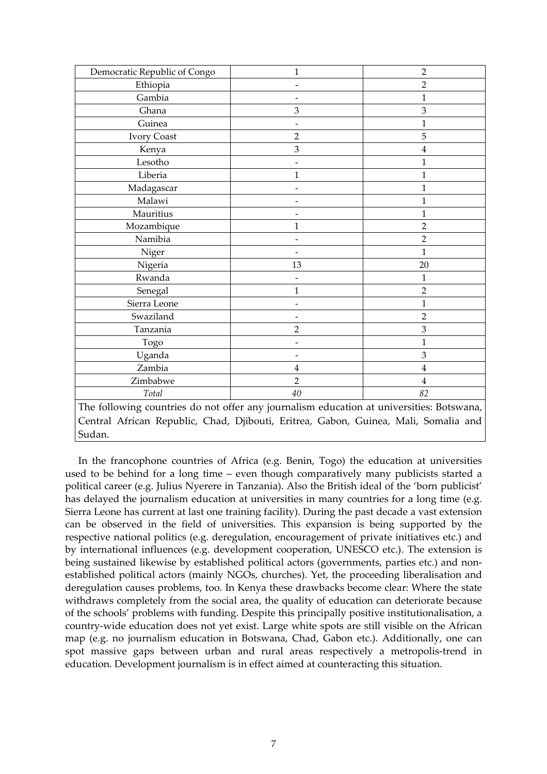| Democratic Republic of Congo                                                             | 1                        | $\overline{2}$ |  |  |  |  |
|------------------------------------------------------------------------------------------|--------------------------|----------------|--|--|--|--|
| Ethiopia                                                                                 | $\overline{2}$           |                |  |  |  |  |
| Gambia                                                                                   |                          | 1              |  |  |  |  |
| Ghana                                                                                    | 3                        | 3              |  |  |  |  |
| Guinea                                                                                   |                          | 1              |  |  |  |  |
| <b>Ivory Coast</b>                                                                       | $\overline{2}$           | 5              |  |  |  |  |
| Kenya                                                                                    | 3                        | $\overline{4}$ |  |  |  |  |
| Lesotho                                                                                  |                          | 1              |  |  |  |  |
| Liberia                                                                                  | 1                        | 1              |  |  |  |  |
| Madagascar                                                                               | L,                       | $\mathbf{1}$   |  |  |  |  |
| Malawi                                                                                   |                          | $\mathbf{1}$   |  |  |  |  |
| Mauritius                                                                                |                          | $\mathbf{1}$   |  |  |  |  |
| Mozambique                                                                               | $\mathbf{1}$             | $\overline{2}$ |  |  |  |  |
| Namibia                                                                                  |                          | $\overline{2}$ |  |  |  |  |
| Niger                                                                                    |                          | 1              |  |  |  |  |
| Nigeria                                                                                  | 13                       | 20             |  |  |  |  |
| Rwanda                                                                                   |                          | 1              |  |  |  |  |
| Senegal                                                                                  | $\mathbf{1}$             | $\overline{2}$ |  |  |  |  |
| Sierra Leone                                                                             |                          | 1              |  |  |  |  |
| Swaziland                                                                                | $\overline{\phantom{0}}$ | $\overline{2}$ |  |  |  |  |
| Tanzania                                                                                 | $\overline{2}$           | 3              |  |  |  |  |
| Togo                                                                                     |                          | 1              |  |  |  |  |
| Uganda                                                                                   |                          | 3              |  |  |  |  |
| Zambia                                                                                   | 4                        | $\overline{4}$ |  |  |  |  |
| Zimbabwe                                                                                 | $\overline{2}$           | $\overline{4}$ |  |  |  |  |
| Total                                                                                    | 40                       | 82             |  |  |  |  |
| The following countries do not offer any journalism education at universities: Botswana, |                          |                |  |  |  |  |
| Central African Republic, Chad, Djibouti, Eritrea, Gabon, Guinea, Mali, Somalia and      |                          |                |  |  |  |  |
| Sudan.                                                                                   |                          |                |  |  |  |  |

In the francophone countries of Africa (e.g. Benin, Togo) the education at universities used to be behind for a long time – even though comparatively many publicists started a political career (e.g. Julius Nyerere in Tanzania). Also the British ideal of the 'born publicist' has delayed the journalism education at universities in many countries for a long time (e.g. Sierra Leone has current at last one training facility). During the past decade a vast extension can be observed in the field of universities. This expansion is being supported by the respective national politics (e.g. deregulation, encouragement of private initiatives etc.) and by international influences (e.g. development cooperation, UNESCO etc.). The extension is being sustained likewise by established political actors (governments, parties etc.) and nonestablished political actors (mainly NGOs, churches). Yet, the proceeding liberalisation and deregulation causes problems, too. In Kenya these drawbacks become clear: Where the state withdraws completely from the social area, the quality of education can deteriorate because of the schools' problems with funding. Despite this principally positive institutionalisation, a country‐wide education does not yet exist. Large white spots are still visible on the African map (e.g. no journalism education in Botswana, Chad, Gabon etc.). Additionally, one can spot massive gaps between urban and rural areas respectively a metropolis‐trend in education. Development journalism is in effect aimed at counteracting this situation.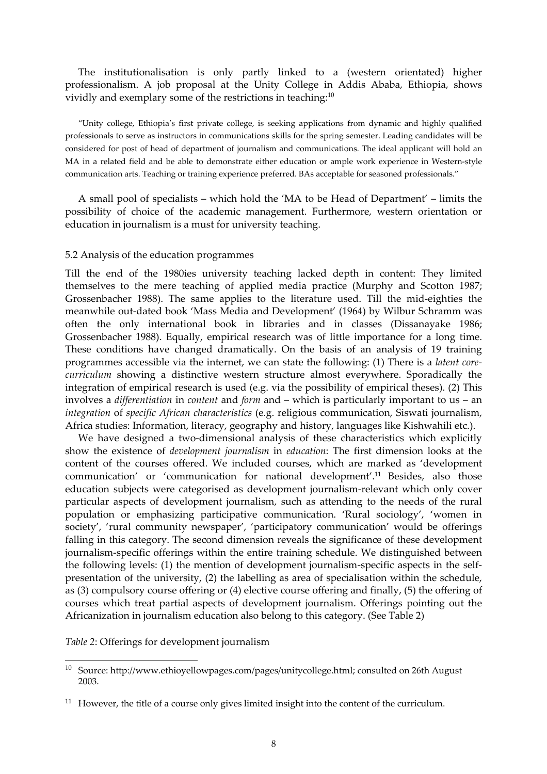The institutionalisation is only partly linked to a (western orientated) higher professionalism. A job proposal at the Unity College in Addis Ababa, Ethiopia, shows vividly and exemplary some of the restrictions in teaching[:10](#page-7-0)

"Unity college, Ethiopia's first private college, is seeking applications from dynamic and highly qualified professionals to serve as instructors in communications skills for the spring semester. Leading candidates will be considered for post of head of department of journalism and communications. The ideal applicant will hold an MA in a related field and be able to demonstrate either education or ample work experience in Western‐style communication arts. Teaching or training experience preferred. BAs acceptable for seasoned professionals."

A small pool of specialists – which hold the 'MA to be Head of Department' – limits the possibility of choice of the academic management. Furthermore, western orientation or education in journalism is a must for university teaching.

#### 5.2 Analysis of the education programmes

Till the end of the 1980ies university teaching lacked depth in content: They limited themselves to the mere teaching of applied media practice (Murphy and Scotton 1987; Grossenbacher 1988). The same applies to the literature used. Till the mid‐eighties the meanwhile out‐dated book 'Mass Media and Development' (1964) by Wilbur Schramm was often the only international book in libraries and in classes (Dissanayake 1986; Grossenbacher 1988). Equally, empirical research was of little importance for a long time. These conditions have changed dramatically. On the basis of an analysis of 19 training programmes accessible via the internet, we can state the following: (1) There is a *latent core‐ curriculum* showing a distinctive western structure almost everywhere. Sporadically the integration of empirical research is used (e.g. via the possibility of empirical theses). (2) This involves a *differentiation* in *content* and *form* and – which is particularly important to us – an *integration* of *specific African characteristics* (e.g. religious communication, Siswati journalism, Africa studies: Information, literacy, geography and history, languages like Kishwahili etc.).

We have designed a two-dimensional analysis of these characteristics which explicitly show the existence of *development journalism* in *education*: The first dimension looks at the content of the courses offered. We included courses, which are marked as 'development communication' or 'communication for national development'[.11](#page-7-1) Besides, also those education subjects were categorised as development journalism‐relevant which only cover particular aspects of development journalism, such as attending to the needs of the rural population or emphasizing participative communication. 'Rural sociology', 'women in society', 'rural community newspaper', 'participatory communication' would be offerings falling in this category. The second dimension reveals the significance of these development journalism‐specific offerings within the entire training schedule. We distinguished between the following levels: (1) the mention of development journalism‐specific aspects in the self‐ presentation of the university, (2) the labelling as area of specialisation within the schedule, as (3) compulsory course offering or (4) elective course offering and finally, (5) the offering of courses which treat partial aspects of development journalism. Offerings pointing out the Africanization in journalism education also belong to this category. (See Table 2)

*Table 2*: Offerings for development journalism

 $\overline{a}$ 

<span id="page-7-0"></span><sup>&</sup>lt;sup>10</sup> Source: http://www.ethioyellowpages.com/pages/unitycollege.html; consulted on 26th August 2003.

<span id="page-7-1"></span> $11$  However, the title of a course only gives limited insight into the content of the curriculum.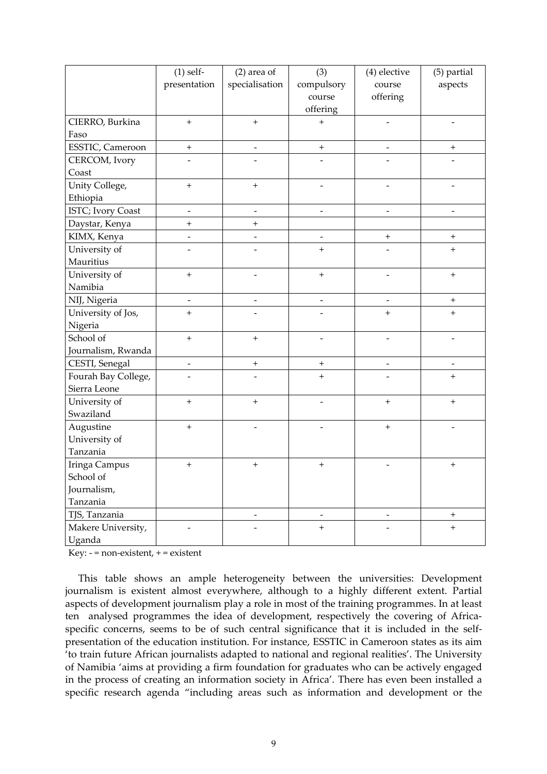|                     | $(1)$ self-                  | $(2)$ area of            | (3)                          | (4) elective             | (5) partial              |
|---------------------|------------------------------|--------------------------|------------------------------|--------------------------|--------------------------|
|                     | presentation                 | specialisation           | compulsory                   | course                   | aspects                  |
|                     |                              |                          | course                       | offering                 |                          |
|                     |                              |                          | offering                     |                          |                          |
| CIERRO, Burkina     | $\ddot{}$                    | $^{+}$                   | $^{+}$                       | $\overline{a}$           | $\overline{\phantom{a}}$ |
| Faso                |                              |                          |                              |                          |                          |
| ESSTIC, Cameroon    | $\qquad \qquad +$            |                          | $^{+}$                       | $\overline{\phantom{a}}$ | $^{+}$                   |
| CERCOM, Ivory       |                              |                          |                              |                          |                          |
| Coast               |                              |                          |                              |                          |                          |
| Unity College,      | $\ddot{}$                    | $^{+}$                   |                              |                          |                          |
| Ethiopia            |                              |                          |                              |                          |                          |
| ISTC; Ivory Coast   | $\overline{\phantom{a}}$     | $\overline{\phantom{a}}$ | $\overline{\phantom{a}}$     | $\overline{\phantom{a}}$ | $\overline{\phantom{a}}$ |
| Daystar, Kenya      | $^{+}$                       | $^{+}$                   |                              |                          |                          |
| KIMX, Kenya         | $\qquad \qquad \blacksquare$ |                          | $\qquad \qquad \blacksquare$ | $^{+}$                   | $+$                      |
| University of       |                              |                          | $^{+}$                       |                          | $\ddot{}$                |
| Mauritius           |                              |                          |                              |                          |                          |
| University of       | $^{+}$                       |                          | $^{+}$                       |                          | $^{+}$                   |
| Namibia             |                              |                          |                              |                          |                          |
| NIJ, Nigeria        | $\overline{\phantom{a}}$     | $\overline{\phantom{0}}$ | $\qquad \qquad \blacksquare$ | $\overline{\phantom{a}}$ | $+$                      |
| University of Jos,  | $\ddot{}$                    |                          |                              | $\ddot{}$                | $^{+}$                   |
| Nigeria             |                              |                          |                              |                          |                          |
| School of           | $\qquad \qquad +$            | $^{+}$                   |                              |                          |                          |
| Journalism, Rwanda  |                              |                          |                              |                          |                          |
| CESTI, Senegal      | $\overline{\phantom{a}}$     | $\qquad \qquad +$        | $+$                          | $\overline{\phantom{0}}$ | $\overline{\phantom{a}}$ |
| Fourah Bay College, |                              |                          | $^{+}$                       |                          | $^{+}$                   |
| Sierra Leone        |                              |                          |                              |                          |                          |
| University of       | $^{+}$                       | $^{+}$                   |                              | $\ddot{}$                | $^{+}$                   |
| Swaziland           |                              |                          |                              |                          |                          |
| Augustine           | $\boldsymbol{+}$             |                          |                              | $\boldsymbol{+}$         |                          |
| University of       |                              |                          |                              |                          |                          |
| Tanzania            |                              |                          |                              |                          |                          |
| Iringa Campus       | $^{+}$                       | $^{+}$                   | $^{+}$                       |                          | $^{+}$                   |
| School of           |                              |                          |                              |                          |                          |
| Journalism,         |                              |                          |                              |                          |                          |
| Tanzania            |                              |                          |                              |                          |                          |
| TJS, Tanzania       |                              | $\overline{\phantom{0}}$ | $\overline{\phantom{a}}$     | $\overline{\phantom{a}}$ | $+$                      |
| Makere University,  |                              |                          | $+$                          |                          | $+$                      |
| Uganda              |                              |                          |                              |                          |                          |

Key:  $-$  = non-existent,  $+$  = existent

This table shows an ample heterogeneity between the universities: Development journalism is existent almost everywhere, although to a highly different extent. Partial aspects of development journalism play a role in most of the training programmes. In at least ten analysed programmes the idea of development, respectively the covering of Africaspecific concerns, seems to be of such central significance that it is included in the selfpresentation of the education institution. For instance, ESSTIC in Cameroon states as its aim 'to train future African journalists adapted to national and regional realities'. The University of Namibia 'aims at providing a firm foundation for graduates who can be actively engaged in the process of creating an information society in Africa'. There has even been installed a specific research agenda "including areas such as information and development or the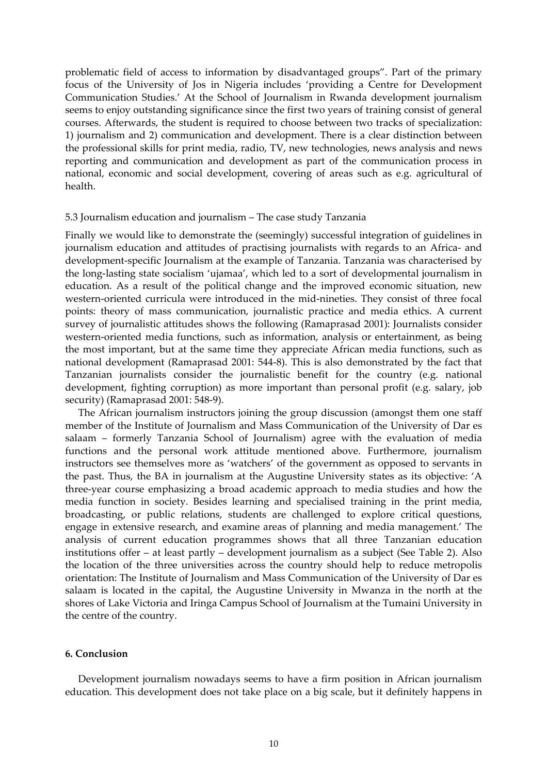problematic field of access to information by disadvantaged groups". Part of the primary focus of the University of Jos in Nigeria includes 'providing a Centre for Development Communication Studies.' At the School of Journalism in Rwanda development journalism seems to enjoy outstanding significance since the first two years of training consist of general courses. Afterwards, the student is required to choose between two tracks of specialization: 1) journalism and 2) communication and development. There is a clear distinction between the professional skills for print media, radio, TV, new technologies, news analysis and news reporting and communication and development as part of the communication process in national, economic and social development, covering of areas such as e.g. agricultural of health.

#### 5.3 Journalism education and journalism – The case study Tanzania

Finally we would like to demonstrate the (seemingly) successful integration of guidelines in journalism education and attitudes of practising journalists with regards to an Africa- and development‐specific Journalism at the example of Tanzania. Tanzania was characterised by the long‐lasting state socialism 'ujamaa', which led to a sort of developmental journalism in education. As a result of the political change and the improved economic situation, new western-oriented curricula were introduced in the mid-nineties. They consist of three focal points: theory of mass communication, journalistic practice and media ethics. A current survey of journalistic attitudes shows the following (Ramaprasad 2001): Journalists consider western-oriented media functions, such as information, analysis or entertainment, as being the most important, but at the same time they appreciate African media functions, such as national development (Ramaprasad 2001: 544‐8). This is also demonstrated by the fact that Tanzanian journalists consider the journalistic benefit for the country (e.g. national development, fighting corruption) as more important than personal profit (e.g. salary, job security) (Ramaprasad 2001: 548-9).

The African journalism instructors joining the group discussion (amongst them one staff member of the Institute of Journalism and Mass Communication of the University of Dar es salaam – formerly Tanzania School of Journalism) agree with the evaluation of media functions and the personal work attitude mentioned above. Furthermore, journalism instructors see themselves more as 'watchers' of the government as opposed to servants in the past. Thus, the BA in journalism at the Augustine University states as its objective: 'A three‐year course emphasizing a broad academic approach to media studies and how the media function in society. Besides learning and specialised training in the print media, broadcasting, or public relations, students are challenged to explore critical questions, engage in extensive research, and examine areas of planning and media management.' The analysis of current education programmes shows that all three Tanzanian education institutions offer – at least partly – development journalism as a subject (See Table 2). Also the location of the three universities across the country should help to reduce metropolis orientation: The Institute of Journalism and Mass Communication of the University of Dar es salaam is located in the capital, the Augustine University in Mwanza in the north at the shores of Lake Victoria and Iringa Campus School of Journalism at the Tumaini University in the centre of the country.

## **6. Conclusion**

Development journalism nowadays seems to have a firm position in African journalism education. This development does not take place on a big scale, but it definitely happens in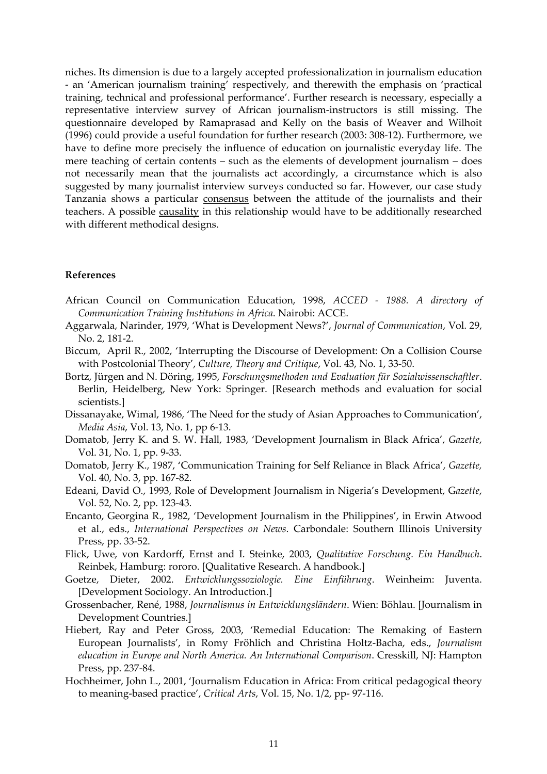niches. Its dimension is due to a largely accepted professionalization in journalism education ‐ an 'American journalism training' respectively, and therewith the emphasis on 'practical training, technical and professional performance'. Further research is necessary, especially a representative interview survey of African journalism‐instructors is still missing. The questionnaire developed by Ramaprasad and Kelly on the basis of Weaver and Wilhoit (1996) could provide a useful foundation for further research (2003: 308‐12). Furthermore, we have to define more precisely the influence of education on journalistic everyday life. The mere teaching of certain contents – such as the elements of development journalism – does not necessarily mean that the journalists act accordingly, a circumstance which is also suggested by many journalist interview surveys conducted so far. However, our case study Tanzania shows a particular consensus between the attitude of the journalists and their teachers. A possible causality in this relationship would have to be additionally researched with different methodical designs.

## **References**

- African Council on Communication Education, 1998, *ACCED ‐ 1988. A directory of Communication Training Institutions in Africa*. Nairobi: ACCE.
- Aggarwala, Narinder, 1979, 'What is Development News?', *Journal of Communication*, Vol. 29, No. 2, 181‐2.
- Biccum, April R., 2002, 'Interrupting the Discourse of Development: On a Collision Course with Postcolonial Theory', *Culture, Theory and Critique*, Vol. 43, No. 1, 33‐50.
- Bortz, Jürgen and N. Döring, 1995, *Forschungsmethoden und Evaluation für Sozialwissenschaftler*. Berlin, Heidelberg, New York: Springer. [Research methods and evaluation for social scientists.]
- Dissanayake, Wimal, 1986, 'The Need for the study of Asian Approaches to Communication', *Media Asia*, Vol. 13, No. 1, pp 6‐13.
- Domatob, Jerry K. and S. W. Hall, 1983, 'Development Journalism in Black Africa', *Gazette*, Vol. 31, No. 1, pp. 9‐33.
- Domatob, Jerry K., 1987, 'Communication Training for Self Reliance in Black Africa', *Gazette,* Vol. 40, No. 3, pp. 167‐82.
- Edeani, David O., 1993, Role of Development Journalism in Nigeria's Development, G*azette*, Vol. 52, No. 2, pp. 123‐43.
- Encanto, Georgina R., 1982, 'Development Journalism in the Philippines', in Erwin Atwood et al., eds., *International Perspectives on News*. Carbondale: Southern Illinois University Press, pp. 33‐52.
- Flick, Uwe, von Kardorff, Ernst and I. Steinke, 2003, *Qualitative Forschung. Ein Handbuch*. Reinbek, Hamburg: rororo. [Qualitative Research. A handbook.]
- Goetze, Dieter, 2002. *Entwicklungssoziologie. Eine Einführung*. Weinheim: Juventa. [Development Sociology. An Introduction.]
- Grossenbacher, René, 1988, *Journalismus in Entwicklungsländern*. Wien: Böhlau. [Journalism in Development Countries.]
- Hiebert, Ray and Peter Gross, 2003, 'Remedial Education: The Remaking of Eastern European Journalists', in Romy Fröhlich and Christina Holtz‐Bacha, eds., *Journalism education in Europe and North America. An International Comparison*. Cresskill, NJ: Hampton Press, pp. 237‐84.
- Hochheimer, John L., 2001, 'Journalism Education in Africa: From critical pedagogical theory to meaning‐based practice', *Critical Arts*, Vol. 15, No. 1/2, pp‐ 97‐116.